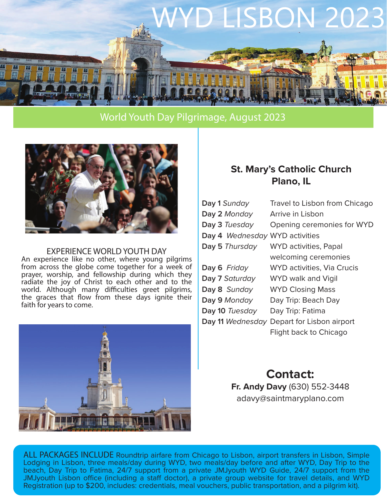

#### World Youth Day Pilgrimage, August 2023



#### EXPERIENCE WORLD YOUTH DAY

An experience like no other, where young pilgrims from across the globe come together for a week of prayer, worship, and fellowship during which they radiate the joy of Christ to each other and to the world. Although many difficulties greet pilgrims, the graces that flow from these days ignite their faith for years to come.



### **St. Mary's Catholic Church Plano, IL**

| Day 1 Sunday                   | Travel to Lisbon from Chicago              |
|--------------------------------|--------------------------------------------|
| Day 2 Monday                   | Arrive in Lisbon                           |
| Day 3 Tuesday                  | Opening ceremonies for WYD                 |
| Day 4 Wednesday WYD activities |                                            |
| Day 5 Thursday                 | <b>WYD</b> activities, Papal               |
|                                | welcoming ceremonies                       |
| Day 6 Friday                   | WYD activities, Via Crucis                 |
| Day 7 Saturday                 | WYD walk and Vigil                         |
| Day 8 Sunday                   | <b>WYD Closing Mass</b>                    |
| Day 9 Monday                   | Day Trip: Beach Day                        |
| Day 10 Tuesday                 | Day Trip: Fatima                           |
|                                | Day 11 Wednesday Depart for Lisbon airport |
|                                | Flight back to Chicago                     |
|                                |                                            |

**Contact: Fr. Andy Davy** (630) 552-3448 adavy@saintmaryplano.com

ALL PACKAGES INCLUDE Roundtrip airfare from Chicago to Lisbon, airport transfers in Lisbon, Simple Lodging in Lisbon, three meals/day during WYD, two meals/day before and after WYD, Day Trip to the beach, Day Trip to Fatima, 24/7 support from a private JMJyouth WYD Guide, 24/7 support from the JMJyouth Lisbon office (including a staff doctor), a private group website for travel details, and WYD Registration (up to \$200, includes: credentials, meal vouchers, public transportation, and a pilgrim kit).